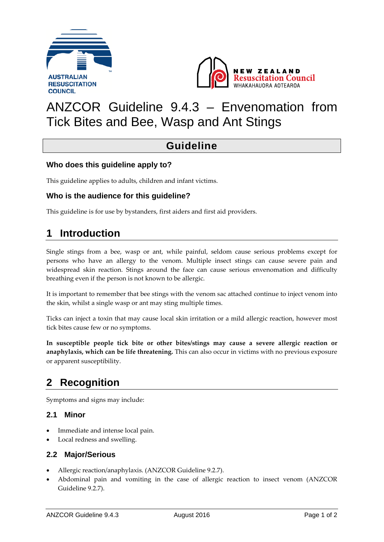



# ANZCOR Guideline 9.4.3 – Envenomation from Tick Bites and Bee, Wasp and Ant Stings

### **Guideline**

### **Who does this guideline apply to?**

This guideline applies to adults, children and infant victims.

### **Who is the audience for this guideline?**

This guideline is for use by bystanders, first aiders and first aid providers.

### **1 Introduction**

Single stings from a bee, wasp or ant, while painful, seldom cause serious problems except for persons who have an allergy to the venom. Multiple insect stings can cause severe pain and widespread skin reaction. Stings around the face can cause serious envenomation and difficulty breathing even if the person is not known to be allergic.

It is important to remember that bee stings with the venom sac attached continue to inject venom into the skin, whilst a single wasp or ant may sting multiple times.

Ticks can inject a toxin that may cause local skin irritation or a mild allergic reaction, however most tick bites cause few or no symptoms.

**In susceptible people tick bite or other bites/stings may cause a severe allergic reaction or anaphylaxis, which can be life threatening.** This can also occur in victims with no previous exposure or apparent susceptibility.

## **2 Recognition**

Symptoms and signs may include:

#### **2.1 Minor**

- Immediate and intense local pain.
- Local redness and swelling.

#### **2.2 Major/Serious**

- Allergic reaction/anaphylaxis. (ANZCOR Guideline 9.2.7).
- Abdominal pain and vomiting in the case of allergic reaction to insect venom (ANZCOR Guideline 9.2.7).